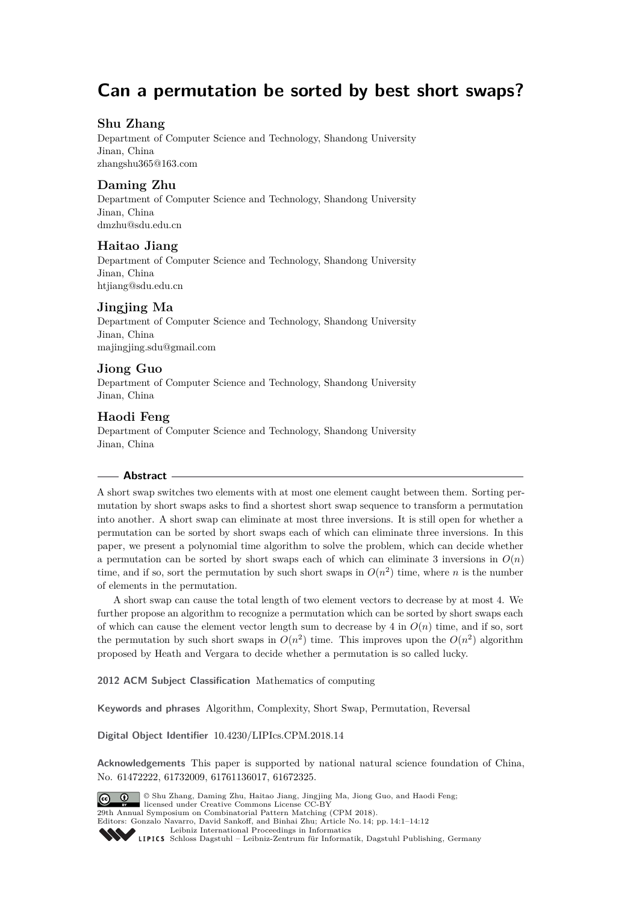# **Can a permutation be sorted by best short swaps?**

# **Shu Zhang**

Department of Computer Science and Technology, Shandong University Jinan, China [zhangshu365@163.com](mailto:zhangshu365@163.com)

# **Daming Zhu**

Department of Computer Science and Technology, Shandong University Jinan, China [dmzhu@sdu.edu.cn](mailto:dmzhu@sdu.edu.cn)

## **Haitao Jiang**

Department of Computer Science and Technology, Shandong University Jinan, China [htjiang@sdu.edu.cn](mailto:htjiang@sdu.edu.cn)

# **Jingjing Ma**

Department of Computer Science and Technology, Shandong University Jinan, China [majingjing.sdu@gmail.com](mailto:majingjing.sdu@gmail.com)

## **Jiong Guo**

Department of Computer Science and Technology, Shandong University Jinan, China

## **Haodi Feng**

Department of Computer Science and Technology, Shandong University Jinan, China

#### **Abstract**

A short swap switches two elements with at most one element caught between them. Sorting permutation by short swaps asks to find a shortest short swap sequence to transform a permutation into another. A short swap can eliminate at most three inversions. It is still open for whether a permutation can be sorted by short swaps each of which can eliminate three inversions. In this paper, we present a polynomial time algorithm to solve the problem, which can decide whether a permutation can be sorted by short swaps each of which can eliminate 3 inversions in  $O(n)$ time, and if so, sort the permutation by such short swaps in  $O(n^2)$  time, where *n* is the number of elements in the permutation.

A short swap can cause the total length of two element vectors to decrease by at most 4. We further propose an algorithm to recognize a permutation which can be sorted by short swaps each of which can cause the element vector length sum to decrease by  $4$  in  $O(n)$  time, and if so, sort the permutation by such short swaps in  $O(n^2)$  time. This improves upon the  $O(n^2)$  algorithm proposed by Heath and Vergara to decide whether a permutation is so called lucky.

**2012 ACM Subject Classification** Mathematics of computing

**Keywords and phrases** Algorithm, Complexity, Short Swap, Permutation, Reversal

**Digital Object Identifier** [10.4230/LIPIcs.CPM.2018.14](http://dx.doi.org/10.4230/LIPIcs.CPM.2018.14)

**Acknowledgements** This paper is supported by national natural science foundation of China, No. 61472222, 61732009, 61761136017, 61672325.



 $\ensuremath{\circledcirc}$  Shu Zhang, Daming Zhu, Haitao Jiang, Jingjing Ma<br/>, Jiong Guo, and Haodi Feng;  $\boxed{6}$  0 licensed under Creative Commons License CC-BY 29th Annual Symposium on Combinatorial Pattern Matching (CPM 2018).

Editors: Gonzalo Navarro, David Sankoff, and Binhai Zhu; Article No. 14; pp. 14:1–14[:12](#page-11-0) [Leibniz International Proceedings in Informatics](http://www.dagstuhl.de/lipics/)

Leibniz International Froceedings in Informatik, Dagstuhl Publishing, Germany<br>LIPICS [Schloss Dagstuhl – Leibniz-Zentrum für Informatik, Dagstuhl Publishing, Germany](http://www.dagstuhl.de)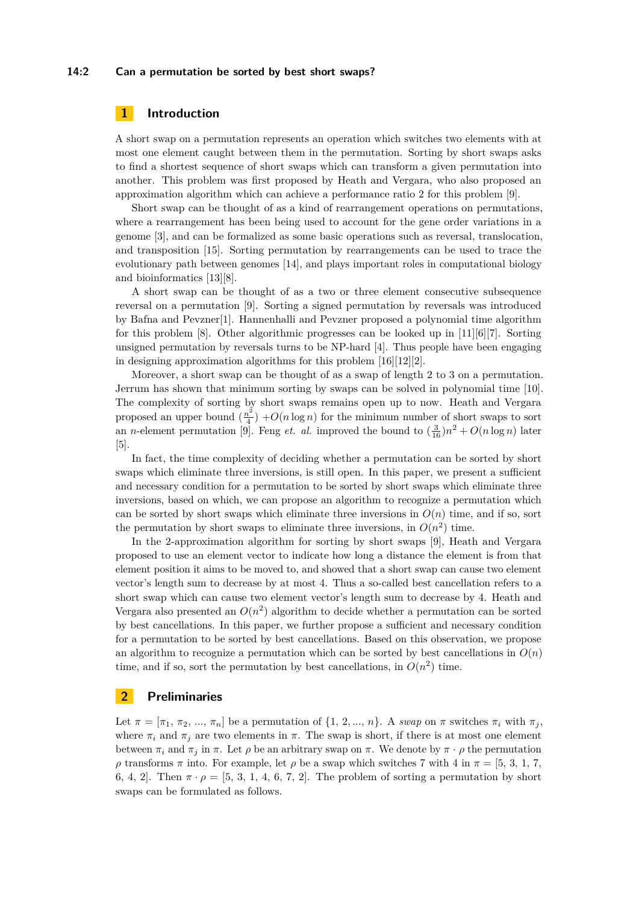#### **14:2 Can a permutation be sorted by best short swaps?**

## **1 Introduction**

A short swap on a permutation represents an operation which switches two elements with at most one element caught between them in the permutation. Sorting by short swaps asks to find a shortest sequence of short swaps which can transform a given permutation into another. This problem was first proposed by Heath and Vergara, who also proposed an approximation algorithm which can achieve a performance ratio 2 for this problem [\[9\]](#page-11-1).

Short swap can be thought of as a kind of rearrangement operations on permutations, where a rearrangement has been being used to account for the gene order variations in a genome [\[3\]](#page-11-2), and can be formalized as some basic operations such as reversal, translocation, and transposition [\[15\]](#page-11-3). Sorting permutation by rearrangements can be used to trace the evolutionary path between genomes [\[14\]](#page-11-4), and plays important roles in computational biology and bioinformatics [\[13\]](#page-11-5)[\[8\]](#page-11-6).

A short swap can be thought of as a two or three element consecutive subsequence reversal on a permutation [\[9\]](#page-11-1). Sorting a signed permutation by reversals was introduced by Bafna and Pevzner[\[1\]](#page-11-7). Hannenhalli and Pevzner proposed a polynomial time algorithm for this problem [\[8\]](#page-11-6). Other algorithmic progresses can be looked up in [\[11\]](#page-11-8)[\[6\]](#page-11-9)[\[7\]](#page-11-10). Sorting unsigned permutation by reversals turns to be NP-hard [\[4\]](#page-11-11). Thus people have been engaging in designing approximation algorithms for this problem [\[16\]](#page-11-12)[\[12\]](#page-11-13)[\[2\]](#page-11-14).

Moreover, a short swap can be thought of as a swap of length 2 to 3 on a permutation. Jerrum has shown that minimum sorting by swaps can be solved in polynomial time [\[10\]](#page-11-15). The complexity of sorting by short swaps remains open up to now. Heath and Vergara proposed an upper bound  $\left(\frac{n^2}{4}\right)$  $\frac{n^2}{4}$  +  $O(n \log n)$  for the minimum number of short swaps to sort an *n*-element permutation [\[9\]](#page-11-1). Feng *et. al.* improved the bound to  $(\frac{3}{16})n^2 + O(n \log n)$  later [\[5\]](#page-11-16).

In fact, the time complexity of deciding whether a permutation can be sorted by short swaps which eliminate three inversions, is still open. In this paper, we present a sufficient and necessary condition for a permutation to be sorted by short swaps which eliminate three inversions, based on which, we can propose an algorithm to recognize a permutation which can be sorted by short swaps which eliminate three inversions in  $O(n)$  time, and if so, sort the permutation by short swaps to eliminate three inversions, in  $O(n^2)$  time.

In the 2-approximation algorithm for sorting by short swaps [\[9\]](#page-11-1), Heath and Vergara proposed to use an element vector to indicate how long a distance the element is from that element position it aims to be moved to, and showed that a short swap can cause two element vector's length sum to decrease by at most 4. Thus a so-called best cancellation refers to a short swap which can cause two element vector's length sum to decrease by 4. Heath and Vergara also presented an  $O(n^2)$  algorithm to decide whether a permutation can be sorted by best cancellations. In this paper, we further propose a sufficient and necessary condition for a permutation to be sorted by best cancellations. Based on this observation, we propose an algorithm to recognize a permutation which can be sorted by best cancellations in  $O(n)$ time, and if so, sort the permutation by best cancellations, in  $O(n^2)$  time.

## **2 Preliminaries**

Let  $\pi = [\pi_1, \pi_2, ..., \pi_n]$  be a permutation of  $\{1, 2, ..., n\}$ . A *swap* on  $\pi$  switches  $\pi_i$  with  $\pi_j$ , where  $\pi_i$  and  $\pi_j$  are two elements in  $\pi$ . The swap is short, if there is at most one element between  $\pi_i$  and  $\pi_j$  in  $\pi$ . Let  $\rho$  be an arbitrary swap on  $\pi$ . We denote by  $\pi \cdot \rho$  the permutation *ρ* transforms *π* into. For example, let *ρ* be a swap which switches 7 with 4 in  $π = [5, 3, 1, 7,$ 6*,* 4*,* 2. Then  $\pi \cdot \rho = [5, 3, 1, 4, 6, 7, 2]$ . The problem of sorting a permutation by short swaps can be formulated as follows.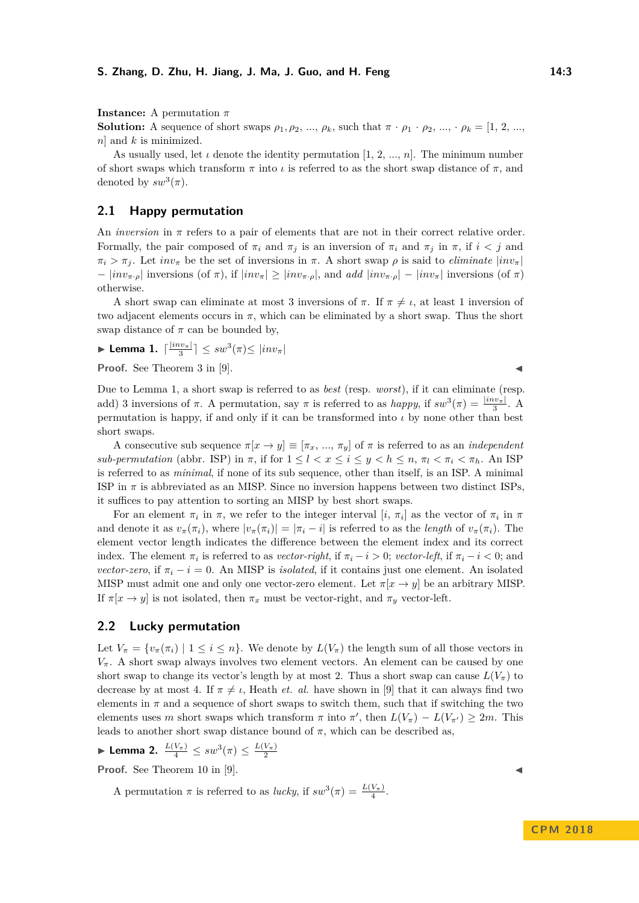**Instance:** A permutation *π*

**Solution:** A sequence of short swaps  $\rho_1, \rho_2, ..., \rho_k$ , such that  $\pi \cdot \rho_1 \cdot \rho_2, ..., \rho_k = [1, 2, ...,$ *n*] and *k* is minimized.

As usually used, let  $\iota$  denote the identity permutation [1, 2, ..., *n*]. The minimum number of short swaps which transform  $\pi$  into  $\iota$  is referred to as the short swap distance of  $\pi$ , and denoted by  $sw^3(\pi)$ .

## **2.1 Happy permutation**

An *inversion* in  $\pi$  refers to a pair of elements that are not in their correct relative order. Formally, the pair composed of  $\pi_i$  and  $\pi_j$  is an inversion of  $\pi_i$  and  $\pi_j$  in  $\pi$ , if  $i < j$  and  $\pi_i > \pi_j$ . Let *inv*<sub>*π*</sub> be the set of inversions in  $\pi$ . A short swap  $\rho$  is said to *eliminate*  $|inv_\pi|$  $|inv_{\pi,\rho}|$  inversions (of  $\pi$ ), if  $|inv_{\pi}| \geq |inv_{\pi,\rho}|$ , and *add*  $|inv_{\pi,\rho}| - |inv_{\pi}|$  inversions (of  $\pi$ ) otherwise.

A short swap can eliminate at most 3 inversions of  $\pi$ . If  $\pi \neq \iota$ , at least 1 inversion of two adjacent elements occurs in  $\pi$ , which can be eliminated by a short swap. Thus the short swap distance of  $\pi$  can be bounded by,

<span id="page-2-0"></span>
$$
\blacktriangleright \textbf{Lemma 1. } \lceil \frac{|inv_{\pi}|}{3} \rceil \leq sw^3(\pi) \leq |inv_{\pi}|
$$

**Proof.** See Theorem 3 in [\[9\]](#page-11-1).

Due to Lemma [1,](#page-2-0) a short swap is referred to as *best* (resp. *worst*), if it can eliminate (resp. add) 3 inversions of  $\pi$ . A permutation, say  $\pi$  is referred to as *happy*, if  $sw^3(\pi) = \frac{|inv_{\pi}|}{3}$ . A permutation is happy, if and only if it can be transformed into *ι* by none other than best short swaps.

A consecutive sub sequence  $\pi[x \to y] \equiv [\pi_x, ..., \pi_y]$  of  $\pi$  is referred to as an *independent sub-permutation* (abbr. ISP) in  $\pi$ , if for  $1 \leq l < x \leq i \leq y < h \leq n$ ,  $\pi_l < \pi_i < \pi_h$ . An ISP is referred to as *minimal*, if none of its sub sequence, other than itself, is an ISP. A minimal ISP in  $\pi$  is abbreviated as an MISP. Since no inversion happens between two distinct ISPs, it suffices to pay attention to sorting an MISP by best short swaps.

For an element  $\pi_i$  in  $\pi$ , we refer to the integer interval [*i*,  $\pi_i$ ] as the vector of  $\pi_i$  in  $\pi$ and denote it as  $v_{\pi}(\pi_i)$ , where  $|v_{\pi}(\pi_i)| = |\pi_i - i|$  is referred to as the *length* of  $v_{\pi}(\pi_i)$ . The element vector length indicates the difference between the element index and its correct index. The element  $\pi_i$  is referred to as *vector-right*, if  $\pi_i - i > 0$ ; *vector-left*, if  $\pi_i - i < 0$ ; and *vector-zero*, if  $\pi_i - i = 0$ . An MISP is *isolated*, if it contains just one element. An isolated MISP must admit one and only one vector-zero element. Let  $\pi[x \to y]$  be an arbitrary MISP. If  $\pi[x \to y]$  is not isolated, then  $\pi_x$  must be vector-right, and  $\pi_y$  vector-left.

## **2.2 Lucky permutation**

Let  $V_{\pi} = \{v_{\pi}(\pi_i) \mid 1 \leq i \leq n\}$ . We denote by  $L(V_{\pi})$  the length sum of all those vectors in  $V_{\pi}$ . A short swap always involves two element vectors. An element can be caused by one short swap to change its vector's length by at most 2. Thus a short swap can cause  $L(V_\pi)$  to decrease by at most 4. If  $\pi \neq \iota$ , Heath *et. al.* have shown in [\[9\]](#page-11-1) that it can always find two elements in  $\pi$  and a sequence of short swaps to switch them, such that if switching the two elements uses *m* short swaps which transform  $\pi$  into  $\pi'$ , then  $L(V_{\pi}) - L(V_{\pi'}) \geq 2m$ . This leads to another short swap distance bound of  $\pi$ , which can be described as,

 $\blacktriangleright$  Lemma 2.  $\frac{L(V_{\pi})}{4}$  ≤  $sw^{3}(\pi)$  ≤  $\frac{L(V_{\pi})}{2}$ 

**Proof.** See Theorem 10 in [\[9\]](#page-11-1).

A permutation  $\pi$  is referred to as *lucky*, if  $sw^3(\pi) = \frac{L(V_{\pi})}{4}$ .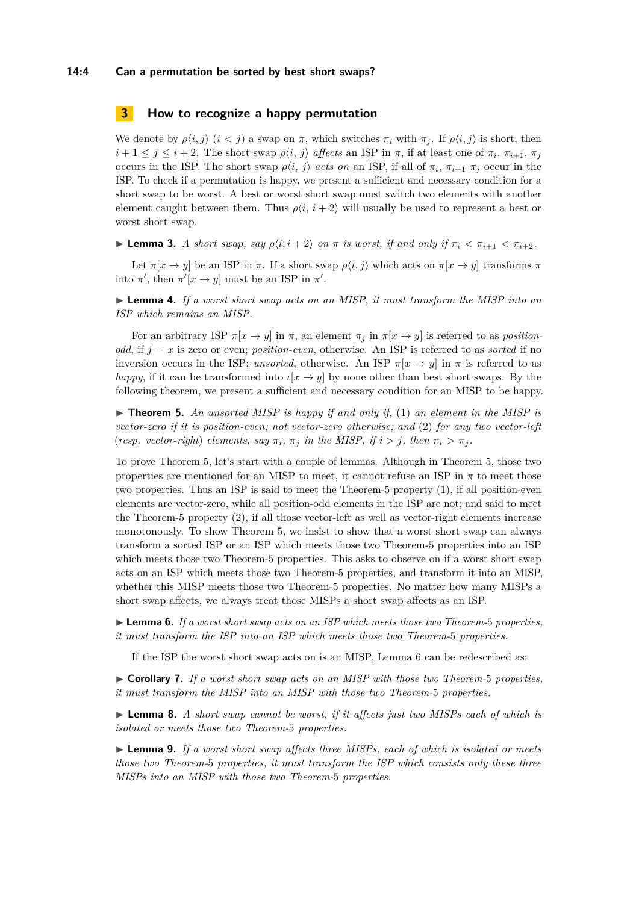#### **14:4 Can a permutation be sorted by best short swaps?**

## <span id="page-3-5"></span>**3 How to recognize a happy permutation**

We denote by  $\rho\langle i, j \rangle$   $(i < j)$  a swap on  $\pi$ , which switches  $\pi_i$  with  $\pi_j$ . If  $\rho\langle i, j \rangle$  is short, then  $i+1 \leq j \leq i+2$ . The short swap  $\rho\langle i, j \rangle$  *affects* an ISP in  $\pi$ , if at least one of  $\pi_i$ ,  $\pi_{i+1}$ ,  $\pi_j$ occurs in the ISP. The short swap  $\rho\langle i, j \rangle$  *acts on* an ISP, if all of  $\pi_i$ ,  $\pi_{i+1}$   $\pi_j$  occur in the ISP. To check if a permutation is happy, we present a sufficient and necessary condition for a short swap to be worst. A best or worst short swap must switch two elements with another element caught between them. Thus  $\rho\langle i, i+2 \rangle$  will usually be used to represent a best or worst short swap.

**Lemma 3.** *A short swap, say*  $\rho\langle i, i+2 \rangle$  *on*  $\pi$  *is worst, if and only if*  $\pi_i < \pi_{i+1} < \pi_{i+2}$ *.* 

Let  $\pi[x \to y]$  be an ISP in  $\pi$ . If a short swap  $\rho\langle i, j \rangle$  which acts on  $\pi[x \to y]$  transforms  $\pi$ into  $\pi'$ , then  $\pi'[x \to y]$  must be an ISP in  $\pi'$ .

I **Lemma 4.** *If a worst short swap acts on an MISP, it must transform the MISP into an ISP which remains an MISP.*

For an arbitrary ISP  $\pi[x \to y]$  in  $\pi$ , an element  $\pi_j$  in  $\pi[x \to y]$  is referred to as *positionodd*, if *j* − *x* is zero or even; *position-even*, otherwise. An ISP is referred to as *sorted* if no inversion occurs in the ISP; *unsorted*, otherwise. An ISP  $\pi[x \to y]$  in  $\pi$  is referred to as *happy*, if it can be transformed into  $\iota[x \to y]$  by none other than best short swaps. By the following theorem, we present a sufficient and necessary condition for an MISP to be happy.

<span id="page-3-0"></span>▶ **Theorem 5.** An unsorted MISP is happy if and only if, (1) an element in the MISP is *vector-zero if it is position-even; not vector-zero otherwise; and* (2) *for any two vector-left* (*resp. vector-right*) *elements, say*  $\pi_i$ ,  $\pi_j$  *in the MISP, if*  $i > j$ *, then*  $\pi_i > \pi_j$ *.* 

To prove Theorem [5,](#page-3-0) let's start with a couple of lemmas. Although in Theorem [5,](#page-3-0) those two properties are mentioned for an MISP to meet, it cannot refuse an ISP in *π* to meet those two properties. Thus an ISP is said to meet the Theorem[-5](#page-3-0) property (1), if all position-even elements are vector-zero, while all position-odd elements in the ISP are not; and said to meet the Theorem[-5](#page-3-0) property (2), if all those vector-left as well as vector-right elements increase monotonously. To show Theorem [5,](#page-3-0) we insist to show that a worst short swap can always transform a sorted ISP or an ISP which meets those two Theorem[-5](#page-3-0) properties into an ISP which meets those two Theorem[-5](#page-3-0) properties. This asks to observe on if a worst short swap acts on an ISP which meets those two Theorem[-5](#page-3-0) properties, and transform it into an MISP, whether this MISP meets those two Theorem[-5](#page-3-0) properties. No matter how many MISPs a short swap affects, we always treat those MISPs a short swap affects as an ISP.

<span id="page-3-1"></span>I **Lemma 6.** *If a worst short swap acts on an ISP which meets those two Theorem-*[5](#page-3-0) *properties, it must transform the ISP into an ISP which meets those two Theorem-*[5](#page-3-0) *properties.*

If the ISP the worst short swap acts on is an MISP, Lemma [6](#page-3-1) can be redescribed as:

<span id="page-3-2"></span>I **Corollary 7.** *If a worst short swap acts on an MISP with those two Theorem-*[5](#page-3-0) *properties, it must transform the MISP into an MISP with those two Theorem-*[5](#page-3-0) *properties.*

<span id="page-3-3"></span>► **Lemma 8.** *A short swap cannot be worst, if it affects just two MISPs each of which is isolated or meets those two Theorem-*[5](#page-3-0) *properties.*

<span id="page-3-4"></span>► **Lemma 9.** *If a worst short swap affects three MISPs, each of which is isolated or meets those two Theorem-*[5](#page-3-0) *properties, it must transform the ISP which consists only these three MISPs into an MISP with those two Theorem-*[5](#page-3-0) *properties.*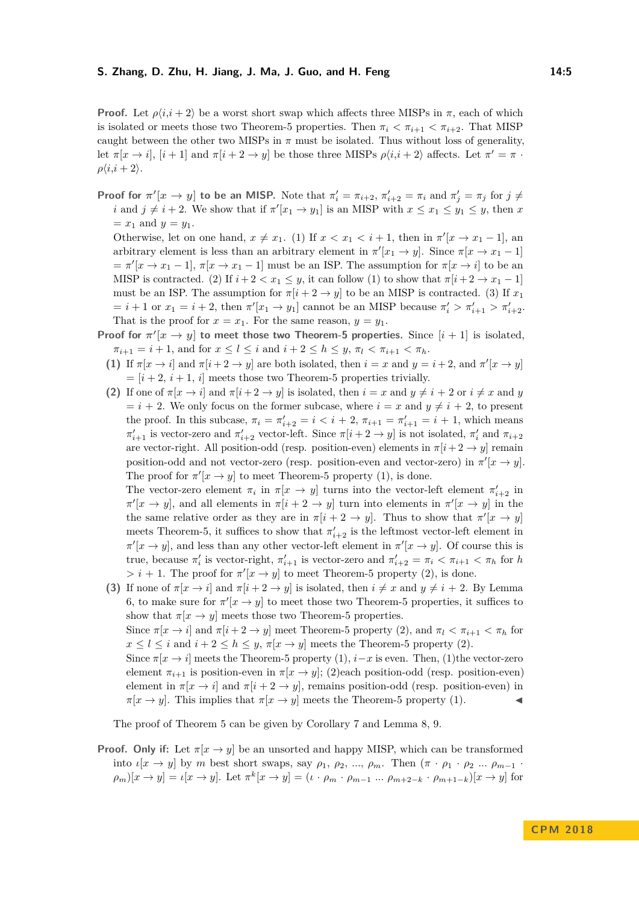**Proof.** Let  $\rho\langle i, i+2 \rangle$  be a worst short swap which affects three MISPs in  $\pi$ , each of which is isolated or meets those two Theorem[-5](#page-3-0) properties. Then  $\pi_i < \pi_{i+1} < \pi_{i+2}$ . That MISP caught between the other two MISPs in  $\pi$  must be isolated. Thus without loss of generality, let  $\pi[x \to i]$ ,  $[i+1]$  and  $\pi[i+2 \to y]$  be those three MISPs  $\rho\langle i, i+2 \rangle$  affects. Let  $\pi' = \pi$ .  $\rho\langle i,i+2\rangle$ .

**Proof for**  $\pi'[x \to y]$  to be an MISP. Note that  $\pi'_i = \pi_{i+2}, \pi'_{i+2} = \pi_i$  and  $\pi'_j = \pi_j$  for  $j \neq j$ *i* and  $j \neq i + 2$ . We show that if  $\pi'[x_1 \to y_1]$  is an MISP with  $x \leq x_1 \leq y_1 \leq y$ , then *x*  $= x_1$  and  $y = y_1$ .

Otherwise, let on one hand,  $x \neq x_1$ . (1) If  $x < x_1 < i + 1$ , then in  $\pi'[x \to x_1 - 1]$ , and arbitrary element is less than an arbitrary element in  $\pi'[x_1 \to y]$ . Since  $\pi[x \to x_1 - 1]$  $= \pi'[x \to x_1 - 1], \pi[x \to x_1 - 1]$  must be an ISP. The assumption for  $\pi[x \to i]$  to be an MISP is contracted. (2) If  $i + 2 < x_1 \leq y$ , it can follow (1) to show that  $\pi[i + 2 \rightarrow x_1 - 1]$ must be an ISP. The assumption for  $\pi[i + 2 \rightarrow y]$  to be an MISP is contracted. (3) If  $x_1$  $i = i + 1$  or  $x_1 = i + 2$ , then  $\pi'[x_1 \to y_1]$  cannot be an MISP because  $\pi'_i > \pi'_{i+1} > \pi'_{i+2}$ . That is the proof for  $x = x_1$ . For the same reason,  $y = y_1$ .

- **Proof for**  $\pi$ <sup>*'*</sup> $[x \rightarrow y]$  **to** meet those two Theorem[-5](#page-3-0) properties. Since  $[i + 1]$  is isolated,  $\pi_{i+1} = i + 1$ , and for  $x \leq l \leq i$  and  $i + 2 \leq h \leq y$ ,  $\pi_l < \pi_{i+1} < \pi_h$ .
	- **(1)** If  $\pi[x \to i]$  and  $\pi[i+2 \to y]$  are both isolated, then  $i = x$  and  $y = i+2$ , and  $\pi'[x \to y]$  $=[i+2, i+1, i]$  meets those two Theorem[-5](#page-3-0) properties trivially.
	- **(2)** If one of  $\pi[x \to i]$  and  $\pi[i+2 \to y]$  is isolated, then  $i = x$  and  $y \neq i+2$  or  $i \neq x$  and *y*  $i = i + 2$ . We only focus on the former subcase, where  $i = x$  and  $y \neq i + 2$ , to present the proof. In this subcase,  $\pi_i = \pi'_{i+2} = i \lt i + 2$ ,  $\pi_{i+1} = \pi'_{i+1} = i + 1$ , which means *π*<sup> $t$ </sup><sub>*i*+1</sub> is vector-zero and *π*<sup> $t$ </sup><sub>*i*+2</sub> vector-left. Since *π*[*i* + 2 → *y*] is not isolated, *π*<sup> $t$ </sup><sub>*i*</sub> and *π*<sub>*i*+2</sub> are vector-right. All position-odd (resp. position-even) elements in  $\pi[i + 2 \rightarrow y]$  remain position-odd and not vector-zero (resp. position-even and vector-zero) in  $\pi$ <sup>'</sup>[ $x \to y$ ]. The proof for  $\pi$ <sup>'</sup> $[x \rightarrow y]$  to meet Theorem[-5](#page-3-0) property (1), is done.

The vector-zero element  $\pi_i$  in  $\pi[x \to y]$  turns into the vector-left element  $\pi'_{i+2}$  in  $\pi$ <sup>'</sup>[ $x \to y$ ], and all elements in  $\pi$ [ $i + 2 \to y$ ] turn into elements in  $\pi$ <sup>'</sup>[ $x \to y$ ] in the the same relative order as they are in  $\pi[i + 2 \rightarrow y]$ . Thus to show that  $\pi'[x \rightarrow y]$ meets Theorem[-5,](#page-3-0) it suffices to show that  $\pi'_{i+2}$  is the leftmost vector-left element in  $\pi$ <sup>'</sup>[ $x \to y$ ], and less than any other vector-left element in  $\pi$ <sup>'</sup>[ $x \to y$ ]. Of course this is true, because  $\pi'_i$  is vector-right,  $\pi'_{i+1}$  is vector-zero and  $\pi'_{i+2} = \pi_i < \pi_{i+1} < \pi_h$  for *h*  $> i + 1$ . The proof for  $\pi$ <sup>'</sup> $[x \rightarrow y]$  to meet Theorem[-5](#page-3-0) property (2), is done.

**(3)** If none of  $\pi[x \to i]$  and  $\pi[i + 2 \to y]$  is isolated, then  $i \neq x$  and  $y \neq i + 2$ . By Lemma [6,](#page-3-1) to make sure for  $\pi$ <sup>'</sup> $[x \rightarrow y]$  to meet those two Theorem[-5](#page-3-0) properties, it suffices to show that  $\pi[x \to y]$  meets those two Theorem[-5](#page-3-0) properties.

Since  $\pi[x \to i]$  and  $\pi[i + 2 \to y]$  meet Theorem[-5](#page-3-0) property (2), and  $\pi_l < \pi_{i+1} < \pi_h$  for  $x \leq l \leq i$  and  $i + 2 \leq h \leq y$ ,  $\pi[x \to y]$  meets the Theorem[-5](#page-3-0) property (2).

Since  $\pi[x \to i]$  meets the Theorem[-5](#page-3-0) property (1),  $i-x$  is even. Then, (1)the vector-zero element  $\pi_{i+1}$  is position-even in  $\pi(x \to y)$ ; (2)each position-odd (resp. position-even) element in  $\pi[x \to i]$  and  $\pi[i + 2 \to y]$ , remains position-odd (resp. position-even) in  $\pi[x \to y]$ . This implies that  $\pi[x \to y]$  meets the Theorem[-5](#page-3-0) property (1).

The proof of Theorem [5](#page-3-0) can be given by Corollary [7](#page-3-2) and Lemma [8,](#page-3-3) [9.](#page-3-4)

**Proof.** Only if: Let  $\pi[x \to y]$  be an unsorted and happy MISP, which can be transformed into *ι*[*x* → *y*] by *m* best short swaps, say *ρ*1, *ρ*2*, ..., ρm*. Then (*π* · *ρ*<sup>1</sup> · *ρ*<sup>2</sup> *... ρm*−<sup>1</sup> ·  $(\rho_m)[x \to y] = \iota[x \to y]$ . Let  $\pi^k[x \to y] = (\iota \cdot \rho_m \cdot \rho_{m-1} \dots \rho_{m+2-k} \cdot \rho_{m+1-k})[x \to y]$  for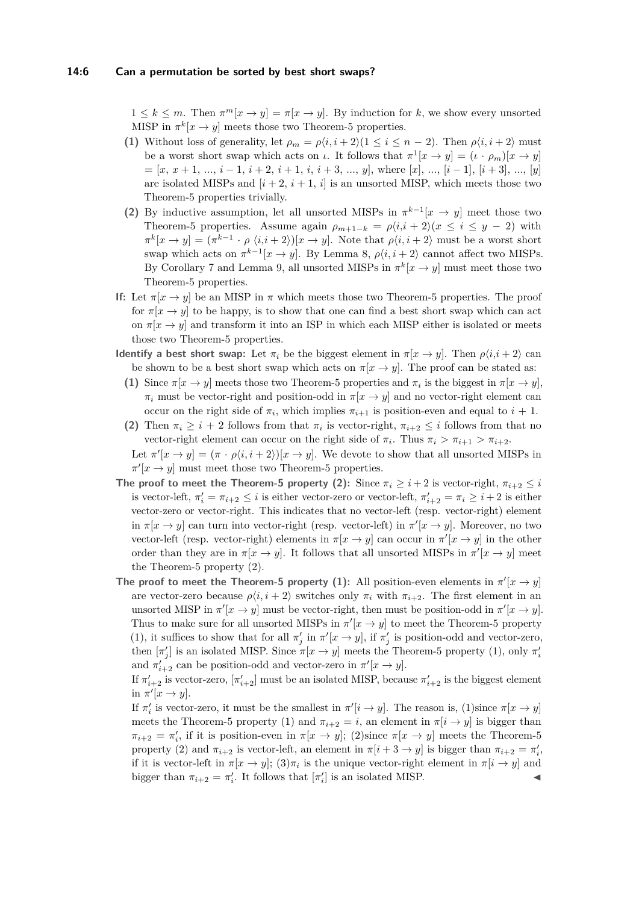$1 \leq k \leq m$ . Then  $\pi^m[x \to y] = \pi[x \to y]$ . By induction for k, we show every unsorted MISP in  $\pi^k[x \to y]$  meets those two Theorem[-5](#page-3-0) properties.

- **(1)** Without loss of generality, let  $\rho_m = \rho \langle i, i + 2 \rangle (1 \le i \le n 2)$ . Then  $\rho \langle i, i + 2 \rangle$  must be a worst short swap which acts on *ι*. It follows that  $\pi^1[x \to y] = (\iota \cdot \rho_m)[x \to y]$  $=[x, x+1, ..., i-1, i+2, i+1, i, i+3, ..., y]$ , where  $[x], ..., [i-1], [i+3], ..., [y]$ are isolated MISPs and  $[i + 2, i + 1, i]$  is an unsorted MISP, which meets those two Theorem[-5](#page-3-0) properties trivially.
- **(2)** By inductive assumption, let all unsorted MISPs in  $\pi^{k-1}[x \to y]$  meet those two Theorem[-5](#page-3-0) properties. Assume again  $\rho_{m+1-k} = \rho \langle i, i+2 \rangle (x \leq i \leq y-2)$  with  $\pi^k[x \to y] = (\pi^{k-1} \cdot \rho \langle i, i+2 \rangle)[x \to y]$ . Note that  $\rho\langle i, i+2 \rangle$  must be a worst short swap which acts on  $\pi^{k-1}[x \to y]$ . By Lemma [8,](#page-3-3)  $\rho\langle i, i+2 \rangle$  cannot affect two MISPs. By Corollary [7](#page-3-2) and Lemma [9,](#page-3-4) all unsorted MISPs in  $\pi^k[x \to y]$  must meet those two Theorem[-5](#page-3-0) properties.
- **If:** Let  $\pi[x \to y]$  be an MISP in  $\pi$  which meets those two Theorem[-5](#page-3-0) properties. The proof for  $\pi[x \to y]$  to be happy, is to show that one can find a best short swap which can act on  $\pi[x \to y]$  and transform it into an ISP in which each MISP either is isolated or meets those two Theorem[-5](#page-3-0) properties.
- **Identify a best short swap:** Let  $\pi_i$  be the biggest element in  $\pi[x \to y]$ . Then  $\rho\langle i, i+2 \rangle$  can be shown to be a best short swap which acts on  $\pi[x \to y]$ . The proof can be stated as:
	- **(1)** Since  $\pi[x \to y]$  meets those two Theorem[-5](#page-3-0) properties and  $\pi_i$  is the biggest in  $\pi[x \to y]$ ,  $\pi_i$  must be vector-right and position-odd in  $\pi[x \to y]$  and no vector-right element can occur on the right side of  $\pi_i$ , which implies  $\pi_{i+1}$  is position-even and equal to  $i+1$ .
	- **(2)** Then  $\pi_i \geq i + 2$  follows from that  $\pi_i$  is vector-right,  $\pi_{i+2} \leq i$  follows from that no vector-right element can occur on the right side of  $\pi_i$ . Thus  $\pi_i > \pi_{i+1} > \pi_{i+2}$ . Let  $\pi'[x \to y] = (\pi \cdot \rho \langle i, i + 2 \rangle)[x \to y]$ . We devote to show that all unsorted MISPs in

 $\pi$ <sup>'</sup>[ $x \to y$ ] must meet those two Theorem[-5](#page-3-0) properties.

- **The proof to meet the Theorem[-5](#page-3-0) property (2):** Since  $\pi_i \geq i+2$  is vector-right,  $\pi_{i+2} \leq i$ is vector-left,  $\pi'_i = \pi_{i+2} \leq i$  is either vector-zero or vector-left,  $\pi'_{i+2} = \pi_i \geq i+2$  is either vector-zero or vector-right. This indicates that no vector-left (resp. vector-right) element in  $\pi[x \to y]$  can turn into vector-right (resp. vector-left) in  $\pi'[x \to y]$ . Moreover, no two vector-left (resp. vector-right) elements in  $\pi[x \to y]$  can occur in  $\pi'[x \to y]$  in the other order than they are in  $\pi[x \to y]$ . It follows that all unsorted MISPs in  $\pi'[x \to y]$  meet the Theorem[-5](#page-3-0) property (2).
- **The proof to meet the Theorem[-5](#page-3-0) property (1):** All position-even elements in  $\pi$ <sup>'</sup> $[x \rightarrow y]$ are vector-zero because  $\rho\langle i, i+2 \rangle$  switches only  $\pi_i$  with  $\pi_{i+2}$ . The first element in an unsorted MISP in  $\pi$ <sup>*'*</sup>[ $x \to y$ ] must be vector-right, then must be position-odd in  $\pi$ <sup>*'*</sup>[ $x \to y$ ]. Thus to make sure for all unsorted MISPs in  $\pi'[x \to y]$  to meet the Theorem[-5](#page-3-0) property (1), it suffices to show that for all  $\pi'_j$  in  $\pi'[x \to y]$ , if  $\pi'_j$  is position-odd and vector-zero, then  $[\pi'_j]$  is an isolated MISP. Since  $\pi[x \to y]$  meets the Theorem[-5](#page-3-0) property (1), only  $\pi'_i$ and  $\pi'_{i+2}$  can be position-odd and vector-zero in  $\pi'[x \to y]$ .

If  $\pi'_{i+2}$  is vector-zero,  $[\pi'_{i+2}]$  must be an isolated MISP, because  $\pi'_{i+2}$  is the biggest element in  $\pi'[x \to y].$ 

If  $\pi'_i$  is vector-zero, it must be the smallest in  $\pi'[i \to y]$ . The reason is, (1)since  $\pi[x \to y]$ meets the Theorem[-5](#page-3-0) property (1) and  $\pi_{i+2} = i$ , an element in  $\pi[i \rightarrow y]$  is bigger than  $\pi_{i+2} = \pi'_i$ , if it is position-even in  $\pi[x \to y]$ ; (2)since  $\pi[x \to y]$  meets the Theorem[-5](#page-3-0) property (2) and  $\pi_{i+2}$  is vector-left, an element in  $\pi[i+3 \rightarrow y]$  is bigger than  $\pi_{i+2} = \pi'_i$ , if it is vector-left in  $\pi[x \to y]$ ;  $(3)\pi_i$  is the unique vector-right element in  $\pi[i \to y]$  and bigger than  $\pi_{i+2} = \pi'_i$ . It follows that  $[\pi'_i]$  is an isolated MISP.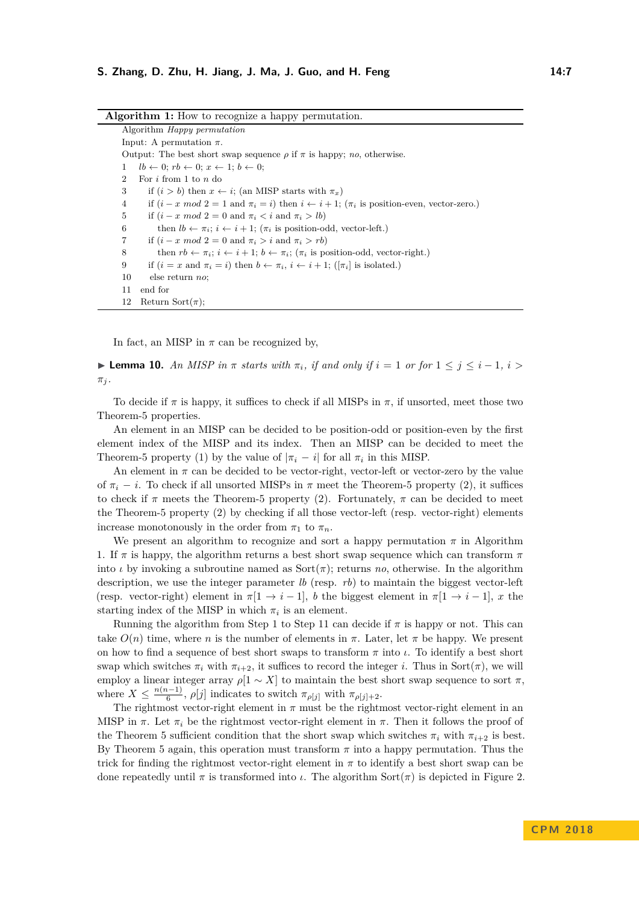<span id="page-6-0"></span>

| <b>Algorithm 1:</b> How to recognize a happy permutation.                                                                        |  |
|----------------------------------------------------------------------------------------------------------------------------------|--|
| Algorithm <i>Happy permutation</i>                                                                                               |  |
| Input: A permutation $\pi$ .                                                                                                     |  |
| Output: The best short swap sequence $\rho$ if $\pi$ is happy; <i>no</i> , otherwise.                                            |  |
| $lb \leftarrow 0$ ; $rb \leftarrow 0$ ; $x \leftarrow 1$ ; $b \leftarrow 0$ ;<br>1                                               |  |
| For $i$ from 1 to $n$ do<br>$\overline{2}$                                                                                       |  |
| 3<br>if $(i > b)$ then $x \leftarrow i$ ; (an MISP starts with $\pi_x$ )                                                         |  |
| if $(i - x \mod 2 = 1 \text{ and } \pi_i = i)$ then $i \leftarrow i + 1$ ; $(\pi_i \text{ is position-even, vector-zero.})$<br>4 |  |
| if $(i - x \mod 2 = 0 \text{ and } \pi_i < i \text{ and } \pi_i > lb)$<br>5                                                      |  |
| then $lb \leftarrow \pi_i$ ; $i \leftarrow i+1$ ; $(\pi_i$ is position-odd, vector-left.)<br>6                                   |  |
| if $(i - x \mod 2 = 0 \text{ and } \pi_i > i \text{ and } \pi_i > rb)$<br>7                                                      |  |
| then $rb \leftarrow \pi_i$ ; $i \leftarrow i+1$ ; $b \leftarrow \pi_i$ ; $(\pi_i$ is position-odd, vector-right.)<br>8           |  |
| 9<br>if $(i = x$ and $\pi_i = i$ then $b \leftarrow \pi_i$ , $i \leftarrow i + 1$ ; ( $[\pi_i]$ is isolated.)                    |  |
| 10<br>else return no:                                                                                                            |  |
| end for<br>11                                                                                                                    |  |
| Return Sort $(\pi)$ ;<br>12                                                                                                      |  |

**Algorithm 1:** How to recognize a happy permutation.

In fact, an MISP in  $\pi$  can be recognized by,

 $\blacktriangleright$  **Lemma 10.** An MISP in π starts with  $\pi_i$ , if and only if  $i = 1$  or for  $1 \leq j \leq i - 1$ ,  $i >$  $\pi_j$ .

To decide if  $\pi$  is happy, it suffices to check if all MISPs in  $\pi$ , if unsorted, meet those two Theorem[-5](#page-3-0) properties.

An element in an MISP can be decided to be position-odd or position-even by the first element index of the MISP and its index. Then an MISP can be decided to meet the Theorem[-5](#page-3-0) property (1) by the value of  $|\pi_i - i|$  for all  $\pi_i$  in this MISP.

An element in  $\pi$  can be decided to be vector-right, vector-left or vector-zero by the value of  $\pi_i - i$ . To check if all unsorted MISPs in  $\pi$  meet the Theorem[-5](#page-3-0) property (2), it suffices to check if  $\pi$  meets the Theorem[-5](#page-3-0) property (2). Fortunately,  $\pi$  can be decided to meet the Theorem[-5](#page-3-0) property (2) by checking if all those vector-left (resp. vector-right) elements increase monotonously in the order from  $\pi_1$  to  $\pi_n$ .

We present an algorithm to recognize and sort a happy permutation  $\pi$  in Algorithm [1.](#page-6-0) If *π* is happy, the algorithm returns a best short swap sequence which can transform *π* into  $\iota$  by invoking a subroutine named as  $Sort(\pi)$ ; returns *no*, otherwise. In the algorithm description, we use the integer parameter *lb* (resp. *rb*) to maintain the biggest vector-left (resp. vector-right) element in  $\pi[1 \rightarrow i-1]$ , *b* the biggest element in  $\pi[1 \rightarrow i-1]$ , *x* the starting index of the MISP in which  $\pi_i$  is an element.

Running the algorithm from Step 1 to Step 11 can decide if  $\pi$  is happy or not. This can take  $O(n)$  time, where *n* is the number of elements in  $\pi$ . Later, let  $\pi$  be happy. We present on how to find a sequence of best short swaps to transform *π* into *ι*. To identify a best short swap which switches  $\pi_i$  with  $\pi_{i+2}$ , it suffices to record the integer *i*. Thus in Sort( $\pi$ ), we will employ a linear integer array  $\rho[1 \sim X]$  to maintain the best short swap sequence to sort  $\pi$ , where  $X \leq \frac{n(n-1)}{6}$  $\frac{n-1}{6}$ ,  $\rho[j]$  indicates to switch  $\pi_{\rho[j]}$  with  $\pi_{\rho[j]+2}$ .

The rightmost vector-right element in  $\pi$  must be the rightmost vector-right element in an MISP in  $\pi$ . Let  $\pi_i$  be the rightmost vector-right element in  $\pi$ . Then it follows the proof of the Theorem [5](#page-3-0) sufficient condition that the short swap which switches  $\pi_i$  with  $\pi_{i+2}$  is best. By Theorem [5](#page-3-0) again, this operation must transform  $\pi$  into a happy permutation. Thus the trick for finding the rightmost vector-right element in  $\pi$  to identify a best short swap can be done repeatedly until  $\pi$  is transformed into  $\iota$ . The algorithm Sort $(\pi)$  is depicted in Figure [2.](#page-7-0)

**C PM 2 0 1 8**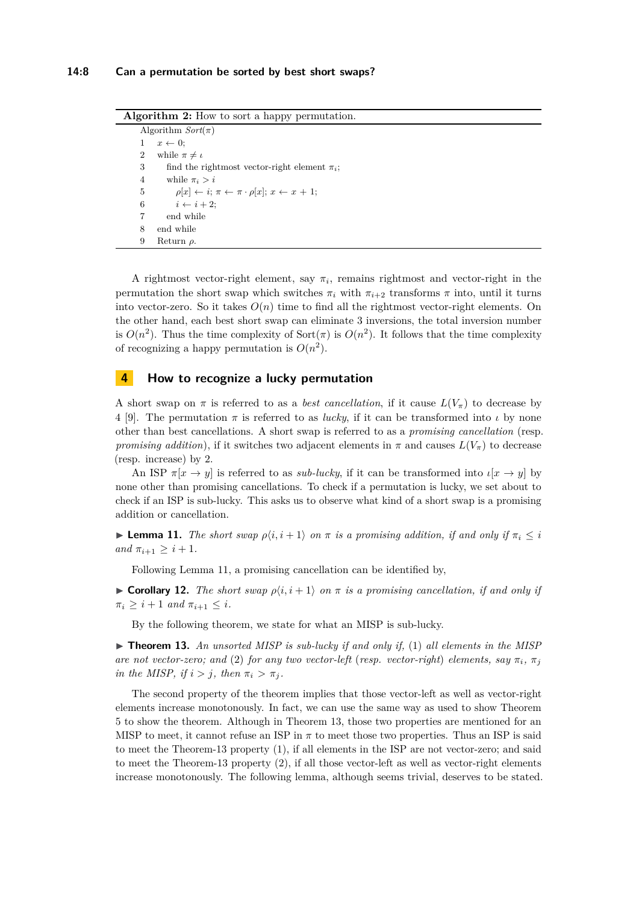**Algorithm 2:** How to sort a happy permutation.

```
Algorithm Sort(π)
1 \quad x \leftarrow 0:
2 while \pi \neq \iota3 find the rightmost vector-right element πi;
4 while \pi_i > i5 \rho[x] \leftarrow i; \pi \leftarrow \pi \cdot \rho[x]; x \leftarrow x + 1;6 i \leftarrow i + 2;
7 end while
8 end while
9 Return ρ.
```
A rightmost vector-right element, say  $\pi_i$ , remains rightmost and vector-right in the permutation the short swap which switches  $\pi_i$  with  $\pi_{i+2}$  transforms  $\pi$  into, until it turns into vector-zero. So it takes  $O(n)$  time to find all the rightmost vector-right elements. On the other hand, each best short swap can eliminate 3 inversions, the total inversion number is  $O(n^2)$ . Thus the time complexity of Sort( $\pi$ ) is  $O(n^2)$ . It follows that the time complexity of recognizing a happy permutation is  $O(n^2)$ .

## **4 How to recognize a lucky permutation**

A short swap on  $\pi$  is referred to as a *best cancellation*, if it cause  $L(V_{\pi})$  to decrease by 4 [\[9\]](#page-11-1). The permutation  $\pi$  is referred to as *lucky*, if it can be transformed into *ι* by none other than best cancellations. A short swap is referred to as a *promising cancellation* (resp. *promising addition*), if it switches two adjacent elements in  $\pi$  and causes  $L(V_{\pi})$  to decrease (resp. increase) by 2.

An ISP  $\pi[x \to y]$  is referred to as *sub-lucky*, if it can be transformed into  $\iota[x \to y]$  by none other than promising cancellations. To check if a permutation is lucky, we set about to check if an ISP is sub-lucky. This asks us to observe what kind of a short swap is a promising addition or cancellation.

<span id="page-7-1"></span>**Lemma 11.** *The short swap*  $\rho\langle i, i+1 \rangle$  *on*  $\pi$  *is a promising addition, if and only if*  $\pi_i \leq i$  $and \pi_{i+1} \geq i+1.$ 

Following Lemma [11,](#page-7-1) a promising cancellation can be identified by,

<span id="page-7-3"></span>**If Corollary 12.** *The short swap*  $\rho\langle i, i+1 \rangle$  *on*  $\pi$  *is a promising cancellation, if and only if*  $\pi_i \geq i+1$  *and*  $\pi_{i+1} \leq i$ .

By the following theorem, we state for what an MISP is sub-lucky.

<span id="page-7-2"></span> $\triangleright$  **Theorem 13.** An unsorted MISP is sub-lucky if and only if, (1) all elements in the MISP *are not vector-zero; and* (2) *for any two vector-left* (*resp. vector-right*) *elements, say*  $\pi_i$ *,*  $\pi_j$ *in the MISP, if*  $i > j$ *, then*  $\pi_i > \pi_j$ *.* 

The second property of the theorem implies that those vector-left as well as vector-right elements increase monotonously. In fact, we can use the same way as used to show Theorem [5](#page-3-0) to show the theorem. Although in Theorem [13,](#page-7-2) those two properties are mentioned for an MISP to meet, it cannot refuse an ISP in  $\pi$  to meet those two properties. Thus an ISP is said to meet the Theorem[-13](#page-7-2) property (1), if all elements in the ISP are not vector-zero; and said to meet the Theorem[-13](#page-7-2) property (2), if all those vector-left as well as vector-right elements increase monotonously. The following lemma, although seems trivial, deserves to be stated.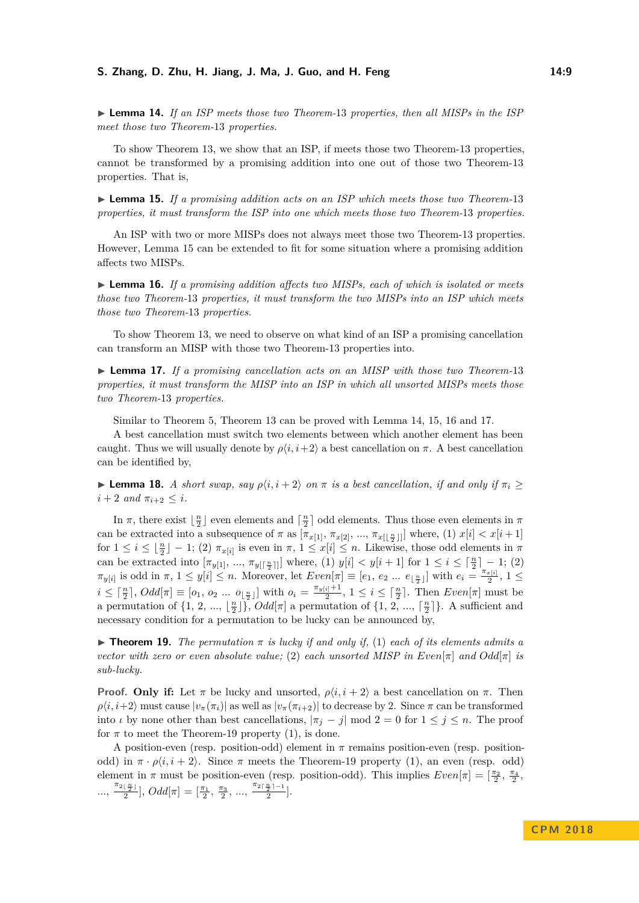#### **S. Zhang, D. Zhu, H. Jiang, J. Ma, J. Guo, and H. Feng 14:9**

<span id="page-8-1"></span>► **Lemma 14.** *If an ISP meets those two Theorem-[13](#page-7-2) properties, then all MISPs in the ISP meet those two Theorem-*[13](#page-7-2) *properties.*

To show Theorem [13,](#page-7-2) we show that an ISP, if meets those two Theorem[-13](#page-7-2) properties, cannot be transformed by a promising addition into one out of those two Theorem[-13](#page-7-2) properties. That is,

<span id="page-8-0"></span>► **Lemma 15.** *If a promising addition acts on an ISP which meets those two Theorem-*[13](#page-7-2) *properties, it must transform the ISP into one which meets those two Theorem-*[13](#page-7-2) *properties.*

An ISP with two or more MISPs does not always meet those two Theorem[-13](#page-7-2) properties. However, Lemma [15](#page-8-0) can be extended to fit for some situation where a promising addition affects two MISPs.

<span id="page-8-2"></span>► Lemma 16. If a promising addition affects two MISPs, each of which is isolated or meets *those two Theorem-*[13](#page-7-2) *properties, it must transform the two MISPs into an ISP which meets those two Theorem-*[13](#page-7-2) *properties.*

To show Theorem [13,](#page-7-2) we need to observe on what kind of an ISP a promising cancellation can transform an MISP with those two Theorem[-13](#page-7-2) properties into.

<span id="page-8-3"></span>I **Lemma 17.** *If a promising cancellation acts on an MISP with those two Theorem-*[13](#page-7-2) *properties, it must transform the MISP into an ISP in which all unsorted MISPs meets those two Theorem-*[13](#page-7-2) *properties.*

Similar to Theorem [5,](#page-3-0) Theorem [13](#page-7-2) can be proved with Lemma [14,](#page-8-1) [15,](#page-8-0) [16](#page-8-2) and [17.](#page-8-3)

A best cancellation must switch two elements between which another element has been caught. Thus we will usually denote by  $\rho\langle i, i+2 \rangle$  a best cancellation on  $\pi$ . A best cancellation can be identified by,

<span id="page-8-5"></span>**Lemma 18.** *A short swap, say*  $\rho\langle i, i+2 \rangle$  *on*  $\pi$  *is a best cancellation, if and only if*  $\pi_i \ge$  $i + 2$  *and*  $\pi_{i+2} \leq i$ .

In  $\pi$ , there exist  $\lfloor \frac{n}{2} \rfloor$  even elements and  $\lceil \frac{n}{2} \rceil$  odd elements. Thus those even elements in  $\pi$ can be extracted into a subsequence of  $\pi$  as  $[\pi_{x[1]}, \pi_{x[2]}, ..., \pi_{x[\lfloor \frac{n}{2} \rfloor]}]$  where, (1)  $x[i] < x[i+1]$ for  $1 \leq i \leq \lfloor \frac{n}{2} \rfloor - 1$ ; (2)  $\pi_{x[i]}$  is even in  $\pi$ ,  $1 \leq x[i] \leq n$ . Likewise, those odd elements in  $\pi$ can be extracted into  $[\pi_{y[1]}, ..., \pi_{y[\lceil \frac{n}{2} \rceil]}]$  where, (1)  $y[i] < y[i+1]$  for  $1 \le i \le \lceil \frac{n}{2} \rceil - 1$ ; (2)  $\pi_{y[i]}$  is odd in  $\pi$ ,  $1 \le y[i] \le n$ . Moreover, let  $Even[\pi] \equiv [e_1, e_2 \dots e_{\lfloor \frac{n}{2} \rfloor}]$  with  $e_i = \frac{\pi_{x[i]}}{2}$  $\frac{x[i]}{2}, 1 \leq$  $i \leq \lceil \frac{n}{2} \rceil$ ,  $Odd[\pi] \equiv [o_1, o_2 \dots o_{\lfloor \frac{n}{2} \rfloor}]$  with  $o_i = \frac{\pi_{y[i]} + 1}{2}$  $\frac{i^{1}+1}{2}$ ,  $1 \leq i \leq \lceil \frac{n}{2} \rceil$ . Then *Even*[*π*] must be a permutation of  $\{1, 2, ..., \lfloor \frac{n}{2} \rfloor\}$ ,  $Odd[\pi]$  a permutation of  $\{1, 2, ..., \lceil \frac{n}{2} \rceil\}$ . A sufficient and necessary condition for a permutation to be lucky can be announced by,

<span id="page-8-4"></span>**Find 19.** *The permutation*  $\pi$  *is lucky if and only if,* (1) *each of its elements admits a vector with zero or even absolute value;* (2) *each unsorted MISP in Even*[ $\pi$ ] *and*  $Odd[\pi]$  *is sub-lucky.*

**Proof. Only if:** Let  $\pi$  be lucky and unsorted,  $\rho\langle i, i+2 \rangle$  a best cancellation on  $\pi$ . Then  $\rho\langle i, i+2 \rangle$  must cause  $|v_\pi(\pi_i)|$  as well as  $|v_\pi(\pi_{i+2})|$  to decrease by 2. Since  $\pi$  can be transformed into *ι* by none other than best cancellations,  $|\pi_j - j| \mod 2 = 0$  for  $1 \le j \le n$ . The proof for  $\pi$  to meet the Theorem[-19](#page-8-4) property (1), is done.

A position-even (resp. position-odd) element in *π* remains position-even (resp. positionodd) in  $\pi \cdot \rho \langle i, i+2 \rangle$ . Since  $\pi$  meets the Theorem[-19](#page-8-4) property (1), an even (resp. odd) element in  $\pi$  must be position-even (resp. position-odd). This implies  $Even[\pi] = \left[\frac{\pi_2}{2}, \frac{\pi_4}{2},\frac{\pi_5}{2},\frac{\pi_6}{2}\right]$  $\ldots, \frac{\pi_{2\lfloor \frac{n}{2} \rfloor}}{2}$ ,  $Odd[\pi] = [\frac{\pi_1}{2}, \frac{\pi_3}{2}, \ldots, \frac{\pi_{2\lceil \frac{n}{2} \rceil - 1}}{2}]$ .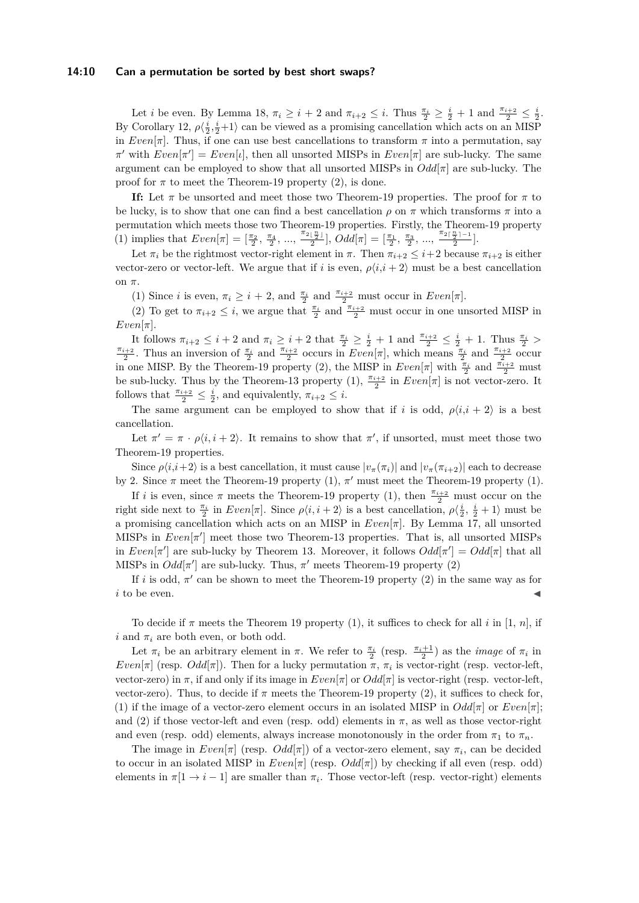#### **14:10 Can a permutation be sorted by best short swaps?**

Let *i* be even. By Lemma [18,](#page-8-5)  $\pi_i \geq i + 2$  and  $\pi_{i+2} \leq i$ . Thus  $\frac{\pi_i}{2} \geq \frac{i}{2} + 1$  and  $\frac{\pi_{i+2}}{2} \leq \frac{i}{2}$ . By Corollary [12,](#page-7-3)  $\rho \langle \frac{i}{2}, \frac{i}{2}+1 \rangle$  can be viewed as a promising cancellation which acts on an MISP in *Even*[ $\pi$ ]. Thus, if one can use best cancellations to transform  $\pi$  into a permutation, say  $\pi'$  with  $Even[\pi'] = Even[\iota],$  then all unsorted MISPs in  $Even[\pi]$  are sub-lucky. The same argument can be employed to show that all unsorted MISPs in  $Odd[\pi]$  are sub-lucky. The proof for  $\pi$  to meet the Theorem[-19](#page-8-4) property (2), is done.

**If:** Let  $\pi$  be unsorted and meet those two Theorem[-19](#page-8-4) properties. The proof for  $\pi$  to be lucky, is to show that one can find a best cancellation  $\rho$  on  $\pi$  which transforms  $\pi$  into a permutation which meets those two Theorem[-19](#page-8-4) properties. Firstly, the Theorem[-19](#page-8-4) property (1) implies that  $Even[\pi] = [\frac{\pi_2}{2}, \frac{\pi_4}{2}, ..., \frac{\pi_{2\lfloor \frac{n}{2} \rfloor}}{2}], Odd[\pi] = [\frac{\pi_1}{2}, \frac{\pi_3}{2}, ..., \frac{\pi_{2\lceil \frac{n}{2} \rceil - 1}}{2}].$ 

Let  $\pi_i$  be the rightmost vector-right element in  $\pi$ . Then  $\pi_{i+2} \leq i+2$  because  $\pi_{i+2}$  is either vector-zero or vector-left. We argue that if *i* is even,  $\rho\langle i, i+2 \rangle$  must be a best cancellation on *π*.

(1) Since *i* is even,  $\pi_i \geq i + 2$ , and  $\frac{\pi_i}{2}$  and  $\frac{\pi_{i+2}}{2}$  must occur in *Even*[ $\pi$ ].

(2) To get to  $\pi_{i+2} \leq i$ , we argue that  $\frac{\pi_i}{2}$  and  $\frac{\pi_{i+2}}{2}$  must occur in one unsorted MISP in  $Even[\pi]$ .

It follows  $\pi_{i+2} \leq i+2$  and  $\pi_i \geq i+2$  that  $\frac{\pi_i}{2} \geq \frac{i}{2}+1$  and  $\frac{\pi_{i+2}}{2} \leq \frac{i}{2}+1$ . Thus  $\frac{\pi_i}{2} > \frac{\pi_{i+2}}{2}$ . Thus an inversion of  $\frac{\pi_i}{2}$  and  $\frac{\pi_{i+2}}{2}$  occurs in  $Even[\pi]$ , which means  $\frac{\pi_i}{2}$ in one MISP. By the Theorem[-19](#page-8-4) property (2), the MISP in  $Even[\pi]$  with  $\frac{\pi_i}{2}$  and  $\frac{\pi_{i+2}}{2}$  must be sub-lucky. Thus by the Theorem[-13](#page-7-2) property (1),  $\frac{\pi_{i+2}}{2}$  in  $Even[\pi]$  is not vector-zero. It follows that  $\frac{\pi_{i+2}}{2} \leq \frac{i}{2}$ , and equivalently,  $\pi_{i+2} \leq i$ .

The same argument can be employed to show that if *i* is odd,  $\rho\langle i, i + 2 \rangle$  is a best cancellation.

Let  $\pi' = \pi \cdot \rho \langle i, i + 2 \rangle$ . It remains to show that  $\pi'$ , if unsorted, must meet those two Theorem[-19](#page-8-4) properties.

Since  $\rho\langle i,i+2\rangle$  is a best cancellation, it must cause  $|v_\pi(\pi_i)|$  and  $|v_\pi(\pi_{i+2})|$  each to decrease by 2. Since  $\pi$  meet the Theorem[-19](#page-8-4) property (1),  $\pi'$  must meet the Theorem-19 property (1).

If *i* is even, since  $\pi$  meets the Theorem[-19](#page-8-4) property (1), then  $\frac{\pi_{i+2}}{2}$  must occur on the right side next to  $\frac{\pi_i}{2}$  in  $Even[\pi]$ . Since  $\rho\langle i, i+2 \rangle$  is a best cancellation,  $\rho\langle \frac{i}{2}, \frac{i}{2}+1 \rangle$  must be a promising cancellation which acts on an MISP in *Even*[*π*]. By Lemma [17,](#page-8-3) all unsorted MISPs in  $Even[\pi']$  meet those two Theorem[-13](#page-7-2) properties. That is, all unsorted MISPs in *Even*[ $\pi'$ ] are sub-lucky by Theorem [13.](#page-7-2) Moreover, it follows  $Odd[\pi'] = Odd[\pi]$  that all MISPs in  $Odd[\pi']$  are sub-lucky. Thus,  $\pi'$  meets Theorem[-19](#page-8-4) property (2)

If *i* is odd,  $\pi'$  can be shown to meet the Theorem[-19](#page-8-4) property (2) in the same way as for  $i$  to be even.

To decide if *π* meets the Theorem [19](#page-8-4) property (1), it suffices to check for all *i* in [1, *n*], if *i* and  $\pi_i$  are both even, or both odd.

Let  $\pi_i$  be an arbitrary element in  $\pi$ . We refer to  $\frac{\pi_i}{2}$  (resp.  $\frac{\pi_i+1}{2}$ ) as the *image* of  $\pi_i$  in *Even*[ $\pi$ ] (resp. *Odd*[ $\pi$ ]). Then for a lucky permutation  $\pi$ ,  $\pi$ <sup>*i*</sup> is vector-right (resp. vector-left, vector-zero) in  $\pi$ , if and only if its image in  $Even[\pi]$  or  $Odd[\pi]$  is vector-right (resp. vector-left, vector-zero). Thus, to decide if  $\pi$  meets the Theorem[-19](#page-8-4) property (2), it suffices to check for, (1) if the image of a vector-zero element occurs in an isolated MISP in  $Odd[\pi]$  or  $Even[\pi];$ and (2) if those vector-left and even (resp. odd) elements in  $\pi$ , as well as those vector-right and even (resp. odd) elements, always increase monotonously in the order from  $\pi_1$  to  $\pi_n$ .

The image in  $Even[\pi]$  (resp.  $Odd[\pi]$ ) of a vector-zero element, say  $\pi_i$ , can be decided to occur in an isolated MISP in *Even*[*π*] (resp. *Odd*[*π*]) by checking if all even (resp. odd) elements in  $\pi[1 \to i-1]$  are smaller than  $\pi_i$ . Those vector-left (resp. vector-right) elements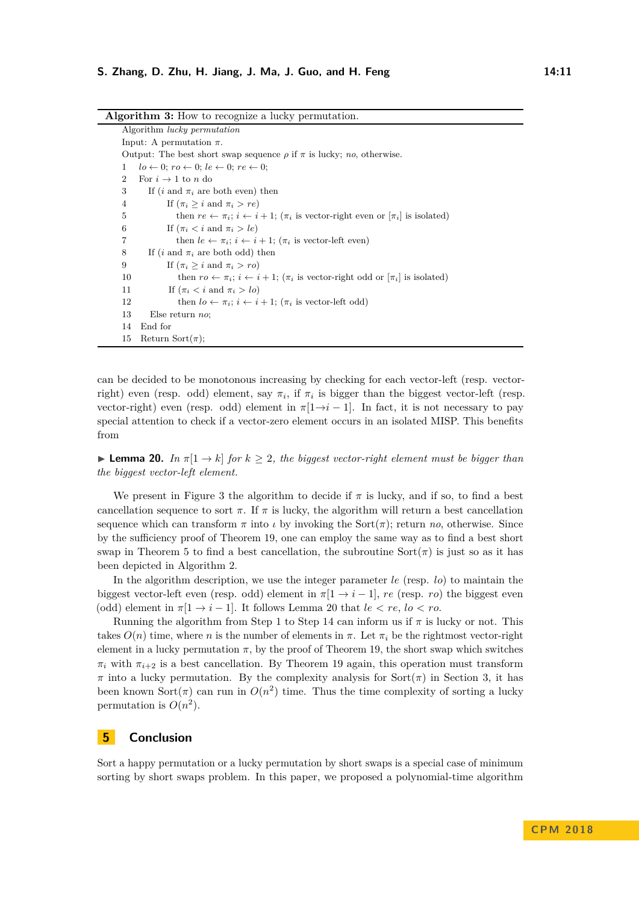<span id="page-10-0"></span>

| <b>Algorithm 3:</b> How to recognize a lucky permutation.                                                       |
|-----------------------------------------------------------------------------------------------------------------|
| Algorithm <i>lucky</i> permutation                                                                              |
| Input: A permutation $\pi$ .                                                                                    |
| Output: The best short swap sequence $\rho$ if $\pi$ is lucky; no, otherwise.                                   |
| $lo \leftarrow 0$ ; $ro \leftarrow 0$ ; $le \leftarrow 0$ ; $re \leftarrow 0$ ;<br>1                            |
| $\overline{2}$<br>For $i \rightarrow 1$ to n do                                                                 |
| 3<br>If ( <i>i</i> and $\pi_i$ are both even) then                                                              |
| If $(\pi_i > i \text{ and } \pi_i > re)$<br>4                                                                   |
| then $re \leftarrow \pi_i$ ; $i \leftarrow i+1$ ; ( $\pi_i$ is vector-right even or $[\pi_i]$ is isolated)<br>5 |
| If $(\pi_i < i \text{ and } \pi_i > le)$<br>6                                                                   |
| 7<br>then $le \leftarrow \pi_i$ ; $i \leftarrow i+1$ ; ( $\pi_i$ is vector-left even)                           |
| 8<br>If ( <i>i</i> and $\pi_i$ are both odd) then                                                               |
| If $(\pi_i > i \text{ and } \pi_i > ro)$<br>9                                                                   |
| then $ro \leftarrow \pi_i$ ; $i \leftarrow i+1$ ; $(\pi_i$ is vector-right odd or $[\pi_i]$ is isolated)<br>10  |
| If $(\pi_i < i \text{ and } \pi_i > lo)$<br>11                                                                  |
| then $l_0 \leftarrow \pi_i$ ; $i \leftarrow i+1$ ; $(\pi_i$ is vector-left odd)<br>12                           |
| 13<br>Else return $no$ ;                                                                                        |
| End for<br>14                                                                                                   |
| Return Sort $(\pi)$ ;<br>15                                                                                     |

can be decided to be monotonous increasing by checking for each vector-left (resp. vectorright) even (resp. odd) element, say  $\pi_i$ , if  $\pi_i$  is bigger than the biggest vector-left (resp. vector-right) even (resp. odd) element in  $\pi[1\rightarrow i-1]$ . In fact, it is not necessary to pay special attention to check if a vector-zero element occurs in an isolated MISP. This benefits from

<span id="page-10-1"></span>**Lemma 20.** *In*  $\pi[1 \rightarrow k]$  *for*  $k \geq 2$ *, the biggest vector-right element must be bigger than the biggest vector-left element.*

We present in Figure [3](#page-10-0) the algorithm to decide if  $\pi$  is lucky, and if so, to find a best cancellation sequence to sort  $\pi$ . If  $\pi$  is lucky, the algorithm will return a best cancellation sequence which can transform  $\pi$  into  $\iota$  by invoking the Sort $(\pi)$ ; return *no*, otherwise. Since by the sufficiency proof of Theorem [19,](#page-8-4) one can employ the same way as to find a best short swap in Theorem [5](#page-3-0) to find a best cancellation, the subroutine  $Sort(\pi)$  is just so as it has been depicted in Algorithm [2.](#page-7-0)

In the algorithm description, we use the integer parameter *le* (resp. *lo*) to maintain the biggest vector-left even (resp. odd) element in  $\pi[1 \rightarrow i-1]$ , *re* (resp. *ro*) the biggest even (odd) element in  $\pi[1 \rightarrow i-1]$ . It follows Lemma [20](#page-10-1) that  $le < re$ ,  $lo < ro$ .

Running the algorithm from Step 1 to Step 14 can inform us if  $\pi$  is lucky or not. This takes  $O(n)$  time, where *n* is the number of elements in  $\pi$ . Let  $\pi_i$  be the rightmost vector-right element in a lucky permutation  $\pi$ , by the proof of Theorem [19,](#page-8-4) the short swap which switches  $\pi_i$  with  $\pi_{i+2}$  is a best cancellation. By Theorem [19](#page-8-4) again, this operation must transform  $\pi$  into a lucky permutation. By the complexity analysis for Sort( $\pi$ ) in Section [3,](#page-3-5) it has been known  $Sort(\pi)$  can run in  $O(n^2)$  time. Thus the time complexity of sorting a lucky permutation is  $O(n^2)$ .

#### **5 Conclusion**

Sort a happy permutation or a lucky permutation by short swaps is a special case of minimum sorting by short swaps problem. In this paper, we proposed a polynomial-time algorithm